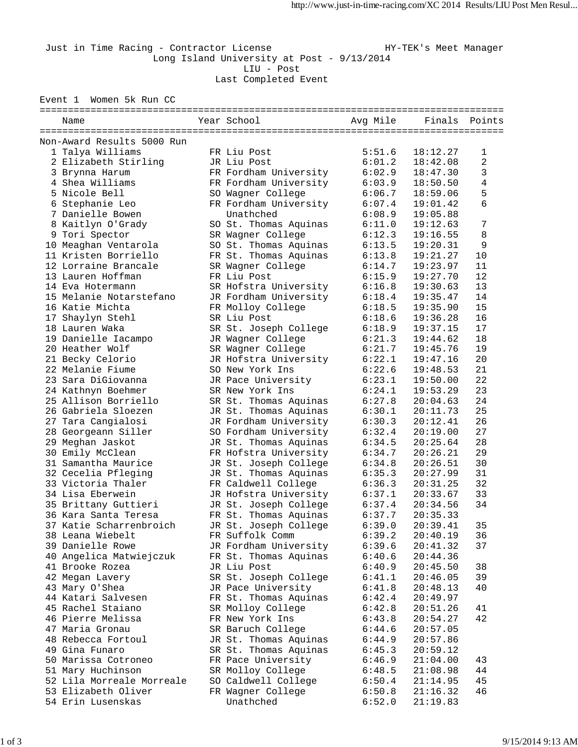Just in Time Racing - Contractor License Manager HY-TEK's Meet Manager Long Island University at Post - 9/13/2014 LIU - Post Last Completed Event

Event 1 Women 5k Run CC

| Year School<br>Avg Mile<br>Finals Points<br>Name<br>Non-Award Results 5000 Run<br>1 Talya Williams<br>FR Liu Post<br>5:51.6<br>18:12.27<br>$\mathbf 1$<br>2<br>2 Elizabeth Stirling<br>JR Liu Post<br>6:01.2<br>18:42.08<br>3<br>FR Fordham University<br>3 Brynna Harum<br>6:02.9<br>18:47.30<br>4<br>4 Shea Williams<br>FR Fordham University<br>6:03.9<br>18:50.50<br>5<br>5 Nicole Bell<br>SO Wagner College<br>6:06.7<br>18:59.06<br>FR Fordham University<br>6<br>6 Stephanie Leo<br>6:07.4<br>19:01.42<br>7 Danielle Bowen<br>Unathched<br>6:08.9<br>19:05.88<br>7<br>8 Kaitlyn O'Grady<br>SO St. Thomas Aquinas<br>6:11.0<br>19:12.63<br>8<br>9 Tori Spector<br>SR Wagner College<br>6:12.3<br>19:16.55<br>9<br>10 Meaghan Ventarola<br>SO St. Thomas Aquinas<br>6:13.5<br>19:20.31<br>11 Kristen Borriello<br>10<br>FR St. Thomas Aquinas<br>6:13.8<br>19:21.27<br>11<br>12 Lorraine Brancale<br>SR Wagner College<br>6:14.7<br>19:23.97<br>12<br>13 Lauren Hoffman<br>FR Liu Post<br>6:15.9<br>19:27.70<br>13<br>14 Eva Hotermann<br>SR Hofstra University<br>6:16.8<br>19:30.63<br>14<br>15 Melanie Notarstefano<br>JR Fordham University<br>6:18.4<br>19:35.47<br>15<br>16 Katie Michta<br>FR Molloy College<br>6:18.5<br>19:35.90<br>17 Shaylyn Stehl<br>16<br>SR Liu Post<br>6:18.6<br>19:36.28<br>18 Lauren Waka<br>17<br>SR St. Joseph College<br>6:18.9<br>19:37.15<br>19 Danielle Iacampo<br>18<br>JR Wagner College<br>6:21.3<br>19:44.62<br>20 Heather Wolf<br>19<br>SR Wagner College<br>6:21.7<br>19:45.76<br>20<br>21 Becky Celorio<br>JR Hofstra University<br>6:22.1<br>19:47.16<br>21<br>22 Melanie Fiume<br>6:22.6<br>SO New York Ins<br>19:48.53<br>22<br>23 Sara DiGiovanna<br>6:23.1<br>JR Pace University<br>19:50.00<br>23<br>6:24.1<br>24 Kathnyn Boehmer<br>SR New York Ins<br>19:53.29<br>24<br>25 Allison Borriello<br>SR St. Thomas Aquinas<br>6:27.8<br>20:04.63<br>25<br>26 Gabriela Sloezen<br>JR St. Thomas Aquinas<br>6:30.1<br>20:11.73<br>26<br>27 Tara Cangialosi<br>JR Fordham University<br>6:30.3<br>20:12.41<br>27<br>SO Fordham University<br>28 Georgeann Siller<br>6:32.4<br>20:19.00<br>JR St. Thomas Aquinas<br>28<br>29 Meghan Jaskot<br>6:34.5<br>20:25.64<br>29<br>30 Emily McClean<br>FR Hofstra University<br>6:34.7<br>20:26.21<br>30<br>31 Samantha Maurice<br>JR St. Joseph College<br>6:34.8<br>20:26.51<br>32 Cecelia Pfleging<br>31<br>JR St. Thomas Aquinas<br>6:35.3<br>20:27.99<br>32<br>FR Caldwell College<br>33 Victoria Thaler<br>6:36.3<br>20:31.25<br>33<br>34 Lisa Eberwein<br>JR Hofstra University<br>6:37.1<br>20:33.67<br>34<br>35 Brittany Guttieri<br>JR St. Joseph College<br>6:37.4<br>20:34.56<br>36 Kara Santa Teresa<br>FR St. Thomas Aquinas<br>6:37.7<br>20:35.33<br>37 Katie Scharrenbroich<br>JR St. Joseph College<br>6:39.0<br>20:39.41<br>35<br>FR Suffolk Comm<br>6:39.2<br>20:40.19<br>36<br>38 Leana Wiebelt<br>39 Danielle Rowe<br>JR Fordham University<br>6:39.6<br>20:41.32<br>37<br>FR St. Thomas Aquinas<br>40 Angelica Matwiejczuk<br>6:40.6<br>20:44.36<br>38<br>41 Brooke Rozea<br>JR Liu Post<br>6:40.9<br>20:45.50<br>39<br>42 Megan Lavery<br>SR St. Joseph College<br>6:41.1<br>20:46.05<br>43 Mary O'Shea<br>JR Pace University<br>6:41.8<br>40<br>20:48.13<br>44 Katari Salvesen<br>FR St. Thomas Aquinas<br>6:42.4<br>20:49.97<br>45 Rachel Staiano<br>SR Molloy College<br>6:42.8<br>20:51.26<br>41<br>42<br>46 Pierre Melissa<br>FR New York Ins<br>6:43.8<br>20:54.27<br>47 Maria Gronau<br>SR Baruch College<br>6:44.6<br>20:57.05<br>48 Rebecca Fortoul<br>JR St. Thomas Aquinas<br>6:44.9<br>20:57.86<br>49 Gina Funaro<br>SR St. Thomas Aquinas<br>20:59.12<br>6:45.3<br>50 Marissa Cotroneo<br>FR Pace University<br>6:46.9<br>21:04.00<br>43<br>51 Mary Huchinson<br>SR Molloy College<br>44<br>6:48.5<br>21:08.98<br>52 Lila Morreale Morreale<br>45<br>SO Caldwell College<br>6:50.4<br>21:14.95<br>53 Elizabeth Oliver<br>FR Wagner College<br>46<br>6:50.8<br>21:16.32<br>54 Erin Lusenskas<br>Unathched<br>6:52.0<br>21:19.83 |  |  |  |  |  |  |  |  |  |  |
|-------------------------------------------------------------------------------------------------------------------------------------------------------------------------------------------------------------------------------------------------------------------------------------------------------------------------------------------------------------------------------------------------------------------------------------------------------------------------------------------------------------------------------------------------------------------------------------------------------------------------------------------------------------------------------------------------------------------------------------------------------------------------------------------------------------------------------------------------------------------------------------------------------------------------------------------------------------------------------------------------------------------------------------------------------------------------------------------------------------------------------------------------------------------------------------------------------------------------------------------------------------------------------------------------------------------------------------------------------------------------------------------------------------------------------------------------------------------------------------------------------------------------------------------------------------------------------------------------------------------------------------------------------------------------------------------------------------------------------------------------------------------------------------------------------------------------------------------------------------------------------------------------------------------------------------------------------------------------------------------------------------------------------------------------------------------------------------------------------------------------------------------------------------------------------------------------------------------------------------------------------------------------------------------------------------------------------------------------------------------------------------------------------------------------------------------------------------------------------------------------------------------------------------------------------------------------------------------------------------------------------------------------------------------------------------------------------------------------------------------------------------------------------------------------------------------------------------------------------------------------------------------------------------------------------------------------------------------------------------------------------------------------------------------------------------------------------------------------------------------------------------------------------------------------------------------------------------------------------------------------------------------------------------------------------------------------------------------------------------------------------------------------------------------------------------------------------------------------------------------------------------------------------------------------------------------------------------------------------------------------------------------------------------------------------------------------------------------------------------------------------------------------------------------------------------------------------------------------------------------------------------------------------------------------------------------------------------------------------------------------------------------------------------------------------------|--|--|--|--|--|--|--|--|--|--|
|                                                                                                                                                                                                                                                                                                                                                                                                                                                                                                                                                                                                                                                                                                                                                                                                                                                                                                                                                                                                                                                                                                                                                                                                                                                                                                                                                                                                                                                                                                                                                                                                                                                                                                                                                                                                                                                                                                                                                                                                                                                                                                                                                                                                                                                                                                                                                                                                                                                                                                                                                                                                                                                                                                                                                                                                                                                                                                                                                                                                                                                                                                                                                                                                                                                                                                                                                                                                                                                                                                                                                                                                                                                                                                                                                                                                                                                                                                                                                                                                                                                             |  |  |  |  |  |  |  |  |  |  |
|                                                                                                                                                                                                                                                                                                                                                                                                                                                                                                                                                                                                                                                                                                                                                                                                                                                                                                                                                                                                                                                                                                                                                                                                                                                                                                                                                                                                                                                                                                                                                                                                                                                                                                                                                                                                                                                                                                                                                                                                                                                                                                                                                                                                                                                                                                                                                                                                                                                                                                                                                                                                                                                                                                                                                                                                                                                                                                                                                                                                                                                                                                                                                                                                                                                                                                                                                                                                                                                                                                                                                                                                                                                                                                                                                                                                                                                                                                                                                                                                                                                             |  |  |  |  |  |  |  |  |  |  |
|                                                                                                                                                                                                                                                                                                                                                                                                                                                                                                                                                                                                                                                                                                                                                                                                                                                                                                                                                                                                                                                                                                                                                                                                                                                                                                                                                                                                                                                                                                                                                                                                                                                                                                                                                                                                                                                                                                                                                                                                                                                                                                                                                                                                                                                                                                                                                                                                                                                                                                                                                                                                                                                                                                                                                                                                                                                                                                                                                                                                                                                                                                                                                                                                                                                                                                                                                                                                                                                                                                                                                                                                                                                                                                                                                                                                                                                                                                                                                                                                                                                             |  |  |  |  |  |  |  |  |  |  |
|                                                                                                                                                                                                                                                                                                                                                                                                                                                                                                                                                                                                                                                                                                                                                                                                                                                                                                                                                                                                                                                                                                                                                                                                                                                                                                                                                                                                                                                                                                                                                                                                                                                                                                                                                                                                                                                                                                                                                                                                                                                                                                                                                                                                                                                                                                                                                                                                                                                                                                                                                                                                                                                                                                                                                                                                                                                                                                                                                                                                                                                                                                                                                                                                                                                                                                                                                                                                                                                                                                                                                                                                                                                                                                                                                                                                                                                                                                                                                                                                                                                             |  |  |  |  |  |  |  |  |  |  |
|                                                                                                                                                                                                                                                                                                                                                                                                                                                                                                                                                                                                                                                                                                                                                                                                                                                                                                                                                                                                                                                                                                                                                                                                                                                                                                                                                                                                                                                                                                                                                                                                                                                                                                                                                                                                                                                                                                                                                                                                                                                                                                                                                                                                                                                                                                                                                                                                                                                                                                                                                                                                                                                                                                                                                                                                                                                                                                                                                                                                                                                                                                                                                                                                                                                                                                                                                                                                                                                                                                                                                                                                                                                                                                                                                                                                                                                                                                                                                                                                                                                             |  |  |  |  |  |  |  |  |  |  |
|                                                                                                                                                                                                                                                                                                                                                                                                                                                                                                                                                                                                                                                                                                                                                                                                                                                                                                                                                                                                                                                                                                                                                                                                                                                                                                                                                                                                                                                                                                                                                                                                                                                                                                                                                                                                                                                                                                                                                                                                                                                                                                                                                                                                                                                                                                                                                                                                                                                                                                                                                                                                                                                                                                                                                                                                                                                                                                                                                                                                                                                                                                                                                                                                                                                                                                                                                                                                                                                                                                                                                                                                                                                                                                                                                                                                                                                                                                                                                                                                                                                             |  |  |  |  |  |  |  |  |  |  |
|                                                                                                                                                                                                                                                                                                                                                                                                                                                                                                                                                                                                                                                                                                                                                                                                                                                                                                                                                                                                                                                                                                                                                                                                                                                                                                                                                                                                                                                                                                                                                                                                                                                                                                                                                                                                                                                                                                                                                                                                                                                                                                                                                                                                                                                                                                                                                                                                                                                                                                                                                                                                                                                                                                                                                                                                                                                                                                                                                                                                                                                                                                                                                                                                                                                                                                                                                                                                                                                                                                                                                                                                                                                                                                                                                                                                                                                                                                                                                                                                                                                             |  |  |  |  |  |  |  |  |  |  |
|                                                                                                                                                                                                                                                                                                                                                                                                                                                                                                                                                                                                                                                                                                                                                                                                                                                                                                                                                                                                                                                                                                                                                                                                                                                                                                                                                                                                                                                                                                                                                                                                                                                                                                                                                                                                                                                                                                                                                                                                                                                                                                                                                                                                                                                                                                                                                                                                                                                                                                                                                                                                                                                                                                                                                                                                                                                                                                                                                                                                                                                                                                                                                                                                                                                                                                                                                                                                                                                                                                                                                                                                                                                                                                                                                                                                                                                                                                                                                                                                                                                             |  |  |  |  |  |  |  |  |  |  |
|                                                                                                                                                                                                                                                                                                                                                                                                                                                                                                                                                                                                                                                                                                                                                                                                                                                                                                                                                                                                                                                                                                                                                                                                                                                                                                                                                                                                                                                                                                                                                                                                                                                                                                                                                                                                                                                                                                                                                                                                                                                                                                                                                                                                                                                                                                                                                                                                                                                                                                                                                                                                                                                                                                                                                                                                                                                                                                                                                                                                                                                                                                                                                                                                                                                                                                                                                                                                                                                                                                                                                                                                                                                                                                                                                                                                                                                                                                                                                                                                                                                             |  |  |  |  |  |  |  |  |  |  |
|                                                                                                                                                                                                                                                                                                                                                                                                                                                                                                                                                                                                                                                                                                                                                                                                                                                                                                                                                                                                                                                                                                                                                                                                                                                                                                                                                                                                                                                                                                                                                                                                                                                                                                                                                                                                                                                                                                                                                                                                                                                                                                                                                                                                                                                                                                                                                                                                                                                                                                                                                                                                                                                                                                                                                                                                                                                                                                                                                                                                                                                                                                                                                                                                                                                                                                                                                                                                                                                                                                                                                                                                                                                                                                                                                                                                                                                                                                                                                                                                                                                             |  |  |  |  |  |  |  |  |  |  |
|                                                                                                                                                                                                                                                                                                                                                                                                                                                                                                                                                                                                                                                                                                                                                                                                                                                                                                                                                                                                                                                                                                                                                                                                                                                                                                                                                                                                                                                                                                                                                                                                                                                                                                                                                                                                                                                                                                                                                                                                                                                                                                                                                                                                                                                                                                                                                                                                                                                                                                                                                                                                                                                                                                                                                                                                                                                                                                                                                                                                                                                                                                                                                                                                                                                                                                                                                                                                                                                                                                                                                                                                                                                                                                                                                                                                                                                                                                                                                                                                                                                             |  |  |  |  |  |  |  |  |  |  |
|                                                                                                                                                                                                                                                                                                                                                                                                                                                                                                                                                                                                                                                                                                                                                                                                                                                                                                                                                                                                                                                                                                                                                                                                                                                                                                                                                                                                                                                                                                                                                                                                                                                                                                                                                                                                                                                                                                                                                                                                                                                                                                                                                                                                                                                                                                                                                                                                                                                                                                                                                                                                                                                                                                                                                                                                                                                                                                                                                                                                                                                                                                                                                                                                                                                                                                                                                                                                                                                                                                                                                                                                                                                                                                                                                                                                                                                                                                                                                                                                                                                             |  |  |  |  |  |  |  |  |  |  |
|                                                                                                                                                                                                                                                                                                                                                                                                                                                                                                                                                                                                                                                                                                                                                                                                                                                                                                                                                                                                                                                                                                                                                                                                                                                                                                                                                                                                                                                                                                                                                                                                                                                                                                                                                                                                                                                                                                                                                                                                                                                                                                                                                                                                                                                                                                                                                                                                                                                                                                                                                                                                                                                                                                                                                                                                                                                                                                                                                                                                                                                                                                                                                                                                                                                                                                                                                                                                                                                                                                                                                                                                                                                                                                                                                                                                                                                                                                                                                                                                                                                             |  |  |  |  |  |  |  |  |  |  |
|                                                                                                                                                                                                                                                                                                                                                                                                                                                                                                                                                                                                                                                                                                                                                                                                                                                                                                                                                                                                                                                                                                                                                                                                                                                                                                                                                                                                                                                                                                                                                                                                                                                                                                                                                                                                                                                                                                                                                                                                                                                                                                                                                                                                                                                                                                                                                                                                                                                                                                                                                                                                                                                                                                                                                                                                                                                                                                                                                                                                                                                                                                                                                                                                                                                                                                                                                                                                                                                                                                                                                                                                                                                                                                                                                                                                                                                                                                                                                                                                                                                             |  |  |  |  |  |  |  |  |  |  |
|                                                                                                                                                                                                                                                                                                                                                                                                                                                                                                                                                                                                                                                                                                                                                                                                                                                                                                                                                                                                                                                                                                                                                                                                                                                                                                                                                                                                                                                                                                                                                                                                                                                                                                                                                                                                                                                                                                                                                                                                                                                                                                                                                                                                                                                                                                                                                                                                                                                                                                                                                                                                                                                                                                                                                                                                                                                                                                                                                                                                                                                                                                                                                                                                                                                                                                                                                                                                                                                                                                                                                                                                                                                                                                                                                                                                                                                                                                                                                                                                                                                             |  |  |  |  |  |  |  |  |  |  |
|                                                                                                                                                                                                                                                                                                                                                                                                                                                                                                                                                                                                                                                                                                                                                                                                                                                                                                                                                                                                                                                                                                                                                                                                                                                                                                                                                                                                                                                                                                                                                                                                                                                                                                                                                                                                                                                                                                                                                                                                                                                                                                                                                                                                                                                                                                                                                                                                                                                                                                                                                                                                                                                                                                                                                                                                                                                                                                                                                                                                                                                                                                                                                                                                                                                                                                                                                                                                                                                                                                                                                                                                                                                                                                                                                                                                                                                                                                                                                                                                                                                             |  |  |  |  |  |  |  |  |  |  |
|                                                                                                                                                                                                                                                                                                                                                                                                                                                                                                                                                                                                                                                                                                                                                                                                                                                                                                                                                                                                                                                                                                                                                                                                                                                                                                                                                                                                                                                                                                                                                                                                                                                                                                                                                                                                                                                                                                                                                                                                                                                                                                                                                                                                                                                                                                                                                                                                                                                                                                                                                                                                                                                                                                                                                                                                                                                                                                                                                                                                                                                                                                                                                                                                                                                                                                                                                                                                                                                                                                                                                                                                                                                                                                                                                                                                                                                                                                                                                                                                                                                             |  |  |  |  |  |  |  |  |  |  |
|                                                                                                                                                                                                                                                                                                                                                                                                                                                                                                                                                                                                                                                                                                                                                                                                                                                                                                                                                                                                                                                                                                                                                                                                                                                                                                                                                                                                                                                                                                                                                                                                                                                                                                                                                                                                                                                                                                                                                                                                                                                                                                                                                                                                                                                                                                                                                                                                                                                                                                                                                                                                                                                                                                                                                                                                                                                                                                                                                                                                                                                                                                                                                                                                                                                                                                                                                                                                                                                                                                                                                                                                                                                                                                                                                                                                                                                                                                                                                                                                                                                             |  |  |  |  |  |  |  |  |  |  |
|                                                                                                                                                                                                                                                                                                                                                                                                                                                                                                                                                                                                                                                                                                                                                                                                                                                                                                                                                                                                                                                                                                                                                                                                                                                                                                                                                                                                                                                                                                                                                                                                                                                                                                                                                                                                                                                                                                                                                                                                                                                                                                                                                                                                                                                                                                                                                                                                                                                                                                                                                                                                                                                                                                                                                                                                                                                                                                                                                                                                                                                                                                                                                                                                                                                                                                                                                                                                                                                                                                                                                                                                                                                                                                                                                                                                                                                                                                                                                                                                                                                             |  |  |  |  |  |  |  |  |  |  |
|                                                                                                                                                                                                                                                                                                                                                                                                                                                                                                                                                                                                                                                                                                                                                                                                                                                                                                                                                                                                                                                                                                                                                                                                                                                                                                                                                                                                                                                                                                                                                                                                                                                                                                                                                                                                                                                                                                                                                                                                                                                                                                                                                                                                                                                                                                                                                                                                                                                                                                                                                                                                                                                                                                                                                                                                                                                                                                                                                                                                                                                                                                                                                                                                                                                                                                                                                                                                                                                                                                                                                                                                                                                                                                                                                                                                                                                                                                                                                                                                                                                             |  |  |  |  |  |  |  |  |  |  |
|                                                                                                                                                                                                                                                                                                                                                                                                                                                                                                                                                                                                                                                                                                                                                                                                                                                                                                                                                                                                                                                                                                                                                                                                                                                                                                                                                                                                                                                                                                                                                                                                                                                                                                                                                                                                                                                                                                                                                                                                                                                                                                                                                                                                                                                                                                                                                                                                                                                                                                                                                                                                                                                                                                                                                                                                                                                                                                                                                                                                                                                                                                                                                                                                                                                                                                                                                                                                                                                                                                                                                                                                                                                                                                                                                                                                                                                                                                                                                                                                                                                             |  |  |  |  |  |  |  |  |  |  |
|                                                                                                                                                                                                                                                                                                                                                                                                                                                                                                                                                                                                                                                                                                                                                                                                                                                                                                                                                                                                                                                                                                                                                                                                                                                                                                                                                                                                                                                                                                                                                                                                                                                                                                                                                                                                                                                                                                                                                                                                                                                                                                                                                                                                                                                                                                                                                                                                                                                                                                                                                                                                                                                                                                                                                                                                                                                                                                                                                                                                                                                                                                                                                                                                                                                                                                                                                                                                                                                                                                                                                                                                                                                                                                                                                                                                                                                                                                                                                                                                                                                             |  |  |  |  |  |  |  |  |  |  |
|                                                                                                                                                                                                                                                                                                                                                                                                                                                                                                                                                                                                                                                                                                                                                                                                                                                                                                                                                                                                                                                                                                                                                                                                                                                                                                                                                                                                                                                                                                                                                                                                                                                                                                                                                                                                                                                                                                                                                                                                                                                                                                                                                                                                                                                                                                                                                                                                                                                                                                                                                                                                                                                                                                                                                                                                                                                                                                                                                                                                                                                                                                                                                                                                                                                                                                                                                                                                                                                                                                                                                                                                                                                                                                                                                                                                                                                                                                                                                                                                                                                             |  |  |  |  |  |  |  |  |  |  |
|                                                                                                                                                                                                                                                                                                                                                                                                                                                                                                                                                                                                                                                                                                                                                                                                                                                                                                                                                                                                                                                                                                                                                                                                                                                                                                                                                                                                                                                                                                                                                                                                                                                                                                                                                                                                                                                                                                                                                                                                                                                                                                                                                                                                                                                                                                                                                                                                                                                                                                                                                                                                                                                                                                                                                                                                                                                                                                                                                                                                                                                                                                                                                                                                                                                                                                                                                                                                                                                                                                                                                                                                                                                                                                                                                                                                                                                                                                                                                                                                                                                             |  |  |  |  |  |  |  |  |  |  |
|                                                                                                                                                                                                                                                                                                                                                                                                                                                                                                                                                                                                                                                                                                                                                                                                                                                                                                                                                                                                                                                                                                                                                                                                                                                                                                                                                                                                                                                                                                                                                                                                                                                                                                                                                                                                                                                                                                                                                                                                                                                                                                                                                                                                                                                                                                                                                                                                                                                                                                                                                                                                                                                                                                                                                                                                                                                                                                                                                                                                                                                                                                                                                                                                                                                                                                                                                                                                                                                                                                                                                                                                                                                                                                                                                                                                                                                                                                                                                                                                                                                             |  |  |  |  |  |  |  |  |  |  |
|                                                                                                                                                                                                                                                                                                                                                                                                                                                                                                                                                                                                                                                                                                                                                                                                                                                                                                                                                                                                                                                                                                                                                                                                                                                                                                                                                                                                                                                                                                                                                                                                                                                                                                                                                                                                                                                                                                                                                                                                                                                                                                                                                                                                                                                                                                                                                                                                                                                                                                                                                                                                                                                                                                                                                                                                                                                                                                                                                                                                                                                                                                                                                                                                                                                                                                                                                                                                                                                                                                                                                                                                                                                                                                                                                                                                                                                                                                                                                                                                                                                             |  |  |  |  |  |  |  |  |  |  |
|                                                                                                                                                                                                                                                                                                                                                                                                                                                                                                                                                                                                                                                                                                                                                                                                                                                                                                                                                                                                                                                                                                                                                                                                                                                                                                                                                                                                                                                                                                                                                                                                                                                                                                                                                                                                                                                                                                                                                                                                                                                                                                                                                                                                                                                                                                                                                                                                                                                                                                                                                                                                                                                                                                                                                                                                                                                                                                                                                                                                                                                                                                                                                                                                                                                                                                                                                                                                                                                                                                                                                                                                                                                                                                                                                                                                                                                                                                                                                                                                                                                             |  |  |  |  |  |  |  |  |  |  |
|                                                                                                                                                                                                                                                                                                                                                                                                                                                                                                                                                                                                                                                                                                                                                                                                                                                                                                                                                                                                                                                                                                                                                                                                                                                                                                                                                                                                                                                                                                                                                                                                                                                                                                                                                                                                                                                                                                                                                                                                                                                                                                                                                                                                                                                                                                                                                                                                                                                                                                                                                                                                                                                                                                                                                                                                                                                                                                                                                                                                                                                                                                                                                                                                                                                                                                                                                                                                                                                                                                                                                                                                                                                                                                                                                                                                                                                                                                                                                                                                                                                             |  |  |  |  |  |  |  |  |  |  |
|                                                                                                                                                                                                                                                                                                                                                                                                                                                                                                                                                                                                                                                                                                                                                                                                                                                                                                                                                                                                                                                                                                                                                                                                                                                                                                                                                                                                                                                                                                                                                                                                                                                                                                                                                                                                                                                                                                                                                                                                                                                                                                                                                                                                                                                                                                                                                                                                                                                                                                                                                                                                                                                                                                                                                                                                                                                                                                                                                                                                                                                                                                                                                                                                                                                                                                                                                                                                                                                                                                                                                                                                                                                                                                                                                                                                                                                                                                                                                                                                                                                             |  |  |  |  |  |  |  |  |  |  |
|                                                                                                                                                                                                                                                                                                                                                                                                                                                                                                                                                                                                                                                                                                                                                                                                                                                                                                                                                                                                                                                                                                                                                                                                                                                                                                                                                                                                                                                                                                                                                                                                                                                                                                                                                                                                                                                                                                                                                                                                                                                                                                                                                                                                                                                                                                                                                                                                                                                                                                                                                                                                                                                                                                                                                                                                                                                                                                                                                                                                                                                                                                                                                                                                                                                                                                                                                                                                                                                                                                                                                                                                                                                                                                                                                                                                                                                                                                                                                                                                                                                             |  |  |  |  |  |  |  |  |  |  |
|                                                                                                                                                                                                                                                                                                                                                                                                                                                                                                                                                                                                                                                                                                                                                                                                                                                                                                                                                                                                                                                                                                                                                                                                                                                                                                                                                                                                                                                                                                                                                                                                                                                                                                                                                                                                                                                                                                                                                                                                                                                                                                                                                                                                                                                                                                                                                                                                                                                                                                                                                                                                                                                                                                                                                                                                                                                                                                                                                                                                                                                                                                                                                                                                                                                                                                                                                                                                                                                                                                                                                                                                                                                                                                                                                                                                                                                                                                                                                                                                                                                             |  |  |  |  |  |  |  |  |  |  |
|                                                                                                                                                                                                                                                                                                                                                                                                                                                                                                                                                                                                                                                                                                                                                                                                                                                                                                                                                                                                                                                                                                                                                                                                                                                                                                                                                                                                                                                                                                                                                                                                                                                                                                                                                                                                                                                                                                                                                                                                                                                                                                                                                                                                                                                                                                                                                                                                                                                                                                                                                                                                                                                                                                                                                                                                                                                                                                                                                                                                                                                                                                                                                                                                                                                                                                                                                                                                                                                                                                                                                                                                                                                                                                                                                                                                                                                                                                                                                                                                                                                             |  |  |  |  |  |  |  |  |  |  |
|                                                                                                                                                                                                                                                                                                                                                                                                                                                                                                                                                                                                                                                                                                                                                                                                                                                                                                                                                                                                                                                                                                                                                                                                                                                                                                                                                                                                                                                                                                                                                                                                                                                                                                                                                                                                                                                                                                                                                                                                                                                                                                                                                                                                                                                                                                                                                                                                                                                                                                                                                                                                                                                                                                                                                                                                                                                                                                                                                                                                                                                                                                                                                                                                                                                                                                                                                                                                                                                                                                                                                                                                                                                                                                                                                                                                                                                                                                                                                                                                                                                             |  |  |  |  |  |  |  |  |  |  |
|                                                                                                                                                                                                                                                                                                                                                                                                                                                                                                                                                                                                                                                                                                                                                                                                                                                                                                                                                                                                                                                                                                                                                                                                                                                                                                                                                                                                                                                                                                                                                                                                                                                                                                                                                                                                                                                                                                                                                                                                                                                                                                                                                                                                                                                                                                                                                                                                                                                                                                                                                                                                                                                                                                                                                                                                                                                                                                                                                                                                                                                                                                                                                                                                                                                                                                                                                                                                                                                                                                                                                                                                                                                                                                                                                                                                                                                                                                                                                                                                                                                             |  |  |  |  |  |  |  |  |  |  |
|                                                                                                                                                                                                                                                                                                                                                                                                                                                                                                                                                                                                                                                                                                                                                                                                                                                                                                                                                                                                                                                                                                                                                                                                                                                                                                                                                                                                                                                                                                                                                                                                                                                                                                                                                                                                                                                                                                                                                                                                                                                                                                                                                                                                                                                                                                                                                                                                                                                                                                                                                                                                                                                                                                                                                                                                                                                                                                                                                                                                                                                                                                                                                                                                                                                                                                                                                                                                                                                                                                                                                                                                                                                                                                                                                                                                                                                                                                                                                                                                                                                             |  |  |  |  |  |  |  |  |  |  |
|                                                                                                                                                                                                                                                                                                                                                                                                                                                                                                                                                                                                                                                                                                                                                                                                                                                                                                                                                                                                                                                                                                                                                                                                                                                                                                                                                                                                                                                                                                                                                                                                                                                                                                                                                                                                                                                                                                                                                                                                                                                                                                                                                                                                                                                                                                                                                                                                                                                                                                                                                                                                                                                                                                                                                                                                                                                                                                                                                                                                                                                                                                                                                                                                                                                                                                                                                                                                                                                                                                                                                                                                                                                                                                                                                                                                                                                                                                                                                                                                                                                             |  |  |  |  |  |  |  |  |  |  |
|                                                                                                                                                                                                                                                                                                                                                                                                                                                                                                                                                                                                                                                                                                                                                                                                                                                                                                                                                                                                                                                                                                                                                                                                                                                                                                                                                                                                                                                                                                                                                                                                                                                                                                                                                                                                                                                                                                                                                                                                                                                                                                                                                                                                                                                                                                                                                                                                                                                                                                                                                                                                                                                                                                                                                                                                                                                                                                                                                                                                                                                                                                                                                                                                                                                                                                                                                                                                                                                                                                                                                                                                                                                                                                                                                                                                                                                                                                                                                                                                                                                             |  |  |  |  |  |  |  |  |  |  |
|                                                                                                                                                                                                                                                                                                                                                                                                                                                                                                                                                                                                                                                                                                                                                                                                                                                                                                                                                                                                                                                                                                                                                                                                                                                                                                                                                                                                                                                                                                                                                                                                                                                                                                                                                                                                                                                                                                                                                                                                                                                                                                                                                                                                                                                                                                                                                                                                                                                                                                                                                                                                                                                                                                                                                                                                                                                                                                                                                                                                                                                                                                                                                                                                                                                                                                                                                                                                                                                                                                                                                                                                                                                                                                                                                                                                                                                                                                                                                                                                                                                             |  |  |  |  |  |  |  |  |  |  |
|                                                                                                                                                                                                                                                                                                                                                                                                                                                                                                                                                                                                                                                                                                                                                                                                                                                                                                                                                                                                                                                                                                                                                                                                                                                                                                                                                                                                                                                                                                                                                                                                                                                                                                                                                                                                                                                                                                                                                                                                                                                                                                                                                                                                                                                                                                                                                                                                                                                                                                                                                                                                                                                                                                                                                                                                                                                                                                                                                                                                                                                                                                                                                                                                                                                                                                                                                                                                                                                                                                                                                                                                                                                                                                                                                                                                                                                                                                                                                                                                                                                             |  |  |  |  |  |  |  |  |  |  |
|                                                                                                                                                                                                                                                                                                                                                                                                                                                                                                                                                                                                                                                                                                                                                                                                                                                                                                                                                                                                                                                                                                                                                                                                                                                                                                                                                                                                                                                                                                                                                                                                                                                                                                                                                                                                                                                                                                                                                                                                                                                                                                                                                                                                                                                                                                                                                                                                                                                                                                                                                                                                                                                                                                                                                                                                                                                                                                                                                                                                                                                                                                                                                                                                                                                                                                                                                                                                                                                                                                                                                                                                                                                                                                                                                                                                                                                                                                                                                                                                                                                             |  |  |  |  |  |  |  |  |  |  |
|                                                                                                                                                                                                                                                                                                                                                                                                                                                                                                                                                                                                                                                                                                                                                                                                                                                                                                                                                                                                                                                                                                                                                                                                                                                                                                                                                                                                                                                                                                                                                                                                                                                                                                                                                                                                                                                                                                                                                                                                                                                                                                                                                                                                                                                                                                                                                                                                                                                                                                                                                                                                                                                                                                                                                                                                                                                                                                                                                                                                                                                                                                                                                                                                                                                                                                                                                                                                                                                                                                                                                                                                                                                                                                                                                                                                                                                                                                                                                                                                                                                             |  |  |  |  |  |  |  |  |  |  |
|                                                                                                                                                                                                                                                                                                                                                                                                                                                                                                                                                                                                                                                                                                                                                                                                                                                                                                                                                                                                                                                                                                                                                                                                                                                                                                                                                                                                                                                                                                                                                                                                                                                                                                                                                                                                                                                                                                                                                                                                                                                                                                                                                                                                                                                                                                                                                                                                                                                                                                                                                                                                                                                                                                                                                                                                                                                                                                                                                                                                                                                                                                                                                                                                                                                                                                                                                                                                                                                                                                                                                                                                                                                                                                                                                                                                                                                                                                                                                                                                                                                             |  |  |  |  |  |  |  |  |  |  |
|                                                                                                                                                                                                                                                                                                                                                                                                                                                                                                                                                                                                                                                                                                                                                                                                                                                                                                                                                                                                                                                                                                                                                                                                                                                                                                                                                                                                                                                                                                                                                                                                                                                                                                                                                                                                                                                                                                                                                                                                                                                                                                                                                                                                                                                                                                                                                                                                                                                                                                                                                                                                                                                                                                                                                                                                                                                                                                                                                                                                                                                                                                                                                                                                                                                                                                                                                                                                                                                                                                                                                                                                                                                                                                                                                                                                                                                                                                                                                                                                                                                             |  |  |  |  |  |  |  |  |  |  |
|                                                                                                                                                                                                                                                                                                                                                                                                                                                                                                                                                                                                                                                                                                                                                                                                                                                                                                                                                                                                                                                                                                                                                                                                                                                                                                                                                                                                                                                                                                                                                                                                                                                                                                                                                                                                                                                                                                                                                                                                                                                                                                                                                                                                                                                                                                                                                                                                                                                                                                                                                                                                                                                                                                                                                                                                                                                                                                                                                                                                                                                                                                                                                                                                                                                                                                                                                                                                                                                                                                                                                                                                                                                                                                                                                                                                                                                                                                                                                                                                                                                             |  |  |  |  |  |  |  |  |  |  |
|                                                                                                                                                                                                                                                                                                                                                                                                                                                                                                                                                                                                                                                                                                                                                                                                                                                                                                                                                                                                                                                                                                                                                                                                                                                                                                                                                                                                                                                                                                                                                                                                                                                                                                                                                                                                                                                                                                                                                                                                                                                                                                                                                                                                                                                                                                                                                                                                                                                                                                                                                                                                                                                                                                                                                                                                                                                                                                                                                                                                                                                                                                                                                                                                                                                                                                                                                                                                                                                                                                                                                                                                                                                                                                                                                                                                                                                                                                                                                                                                                                                             |  |  |  |  |  |  |  |  |  |  |
|                                                                                                                                                                                                                                                                                                                                                                                                                                                                                                                                                                                                                                                                                                                                                                                                                                                                                                                                                                                                                                                                                                                                                                                                                                                                                                                                                                                                                                                                                                                                                                                                                                                                                                                                                                                                                                                                                                                                                                                                                                                                                                                                                                                                                                                                                                                                                                                                                                                                                                                                                                                                                                                                                                                                                                                                                                                                                                                                                                                                                                                                                                                                                                                                                                                                                                                                                                                                                                                                                                                                                                                                                                                                                                                                                                                                                                                                                                                                                                                                                                                             |  |  |  |  |  |  |  |  |  |  |
|                                                                                                                                                                                                                                                                                                                                                                                                                                                                                                                                                                                                                                                                                                                                                                                                                                                                                                                                                                                                                                                                                                                                                                                                                                                                                                                                                                                                                                                                                                                                                                                                                                                                                                                                                                                                                                                                                                                                                                                                                                                                                                                                                                                                                                                                                                                                                                                                                                                                                                                                                                                                                                                                                                                                                                                                                                                                                                                                                                                                                                                                                                                                                                                                                                                                                                                                                                                                                                                                                                                                                                                                                                                                                                                                                                                                                                                                                                                                                                                                                                                             |  |  |  |  |  |  |  |  |  |  |
|                                                                                                                                                                                                                                                                                                                                                                                                                                                                                                                                                                                                                                                                                                                                                                                                                                                                                                                                                                                                                                                                                                                                                                                                                                                                                                                                                                                                                                                                                                                                                                                                                                                                                                                                                                                                                                                                                                                                                                                                                                                                                                                                                                                                                                                                                                                                                                                                                                                                                                                                                                                                                                                                                                                                                                                                                                                                                                                                                                                                                                                                                                                                                                                                                                                                                                                                                                                                                                                                                                                                                                                                                                                                                                                                                                                                                                                                                                                                                                                                                                                             |  |  |  |  |  |  |  |  |  |  |
|                                                                                                                                                                                                                                                                                                                                                                                                                                                                                                                                                                                                                                                                                                                                                                                                                                                                                                                                                                                                                                                                                                                                                                                                                                                                                                                                                                                                                                                                                                                                                                                                                                                                                                                                                                                                                                                                                                                                                                                                                                                                                                                                                                                                                                                                                                                                                                                                                                                                                                                                                                                                                                                                                                                                                                                                                                                                                                                                                                                                                                                                                                                                                                                                                                                                                                                                                                                                                                                                                                                                                                                                                                                                                                                                                                                                                                                                                                                                                                                                                                                             |  |  |  |  |  |  |  |  |  |  |
|                                                                                                                                                                                                                                                                                                                                                                                                                                                                                                                                                                                                                                                                                                                                                                                                                                                                                                                                                                                                                                                                                                                                                                                                                                                                                                                                                                                                                                                                                                                                                                                                                                                                                                                                                                                                                                                                                                                                                                                                                                                                                                                                                                                                                                                                                                                                                                                                                                                                                                                                                                                                                                                                                                                                                                                                                                                                                                                                                                                                                                                                                                                                                                                                                                                                                                                                                                                                                                                                                                                                                                                                                                                                                                                                                                                                                                                                                                                                                                                                                                                             |  |  |  |  |  |  |  |  |  |  |
|                                                                                                                                                                                                                                                                                                                                                                                                                                                                                                                                                                                                                                                                                                                                                                                                                                                                                                                                                                                                                                                                                                                                                                                                                                                                                                                                                                                                                                                                                                                                                                                                                                                                                                                                                                                                                                                                                                                                                                                                                                                                                                                                                                                                                                                                                                                                                                                                                                                                                                                                                                                                                                                                                                                                                                                                                                                                                                                                                                                                                                                                                                                                                                                                                                                                                                                                                                                                                                                                                                                                                                                                                                                                                                                                                                                                                                                                                                                                                                                                                                                             |  |  |  |  |  |  |  |  |  |  |
|                                                                                                                                                                                                                                                                                                                                                                                                                                                                                                                                                                                                                                                                                                                                                                                                                                                                                                                                                                                                                                                                                                                                                                                                                                                                                                                                                                                                                                                                                                                                                                                                                                                                                                                                                                                                                                                                                                                                                                                                                                                                                                                                                                                                                                                                                                                                                                                                                                                                                                                                                                                                                                                                                                                                                                                                                                                                                                                                                                                                                                                                                                                                                                                                                                                                                                                                                                                                                                                                                                                                                                                                                                                                                                                                                                                                                                                                                                                                                                                                                                                             |  |  |  |  |  |  |  |  |  |  |
|                                                                                                                                                                                                                                                                                                                                                                                                                                                                                                                                                                                                                                                                                                                                                                                                                                                                                                                                                                                                                                                                                                                                                                                                                                                                                                                                                                                                                                                                                                                                                                                                                                                                                                                                                                                                                                                                                                                                                                                                                                                                                                                                                                                                                                                                                                                                                                                                                                                                                                                                                                                                                                                                                                                                                                                                                                                                                                                                                                                                                                                                                                                                                                                                                                                                                                                                                                                                                                                                                                                                                                                                                                                                                                                                                                                                                                                                                                                                                                                                                                                             |  |  |  |  |  |  |  |  |  |  |
|                                                                                                                                                                                                                                                                                                                                                                                                                                                                                                                                                                                                                                                                                                                                                                                                                                                                                                                                                                                                                                                                                                                                                                                                                                                                                                                                                                                                                                                                                                                                                                                                                                                                                                                                                                                                                                                                                                                                                                                                                                                                                                                                                                                                                                                                                                                                                                                                                                                                                                                                                                                                                                                                                                                                                                                                                                                                                                                                                                                                                                                                                                                                                                                                                                                                                                                                                                                                                                                                                                                                                                                                                                                                                                                                                                                                                                                                                                                                                                                                                                                             |  |  |  |  |  |  |  |  |  |  |
|                                                                                                                                                                                                                                                                                                                                                                                                                                                                                                                                                                                                                                                                                                                                                                                                                                                                                                                                                                                                                                                                                                                                                                                                                                                                                                                                                                                                                                                                                                                                                                                                                                                                                                                                                                                                                                                                                                                                                                                                                                                                                                                                                                                                                                                                                                                                                                                                                                                                                                                                                                                                                                                                                                                                                                                                                                                                                                                                                                                                                                                                                                                                                                                                                                                                                                                                                                                                                                                                                                                                                                                                                                                                                                                                                                                                                                                                                                                                                                                                                                                             |  |  |  |  |  |  |  |  |  |  |
|                                                                                                                                                                                                                                                                                                                                                                                                                                                                                                                                                                                                                                                                                                                                                                                                                                                                                                                                                                                                                                                                                                                                                                                                                                                                                                                                                                                                                                                                                                                                                                                                                                                                                                                                                                                                                                                                                                                                                                                                                                                                                                                                                                                                                                                                                                                                                                                                                                                                                                                                                                                                                                                                                                                                                                                                                                                                                                                                                                                                                                                                                                                                                                                                                                                                                                                                                                                                                                                                                                                                                                                                                                                                                                                                                                                                                                                                                                                                                                                                                                                             |  |  |  |  |  |  |  |  |  |  |
|                                                                                                                                                                                                                                                                                                                                                                                                                                                                                                                                                                                                                                                                                                                                                                                                                                                                                                                                                                                                                                                                                                                                                                                                                                                                                                                                                                                                                                                                                                                                                                                                                                                                                                                                                                                                                                                                                                                                                                                                                                                                                                                                                                                                                                                                                                                                                                                                                                                                                                                                                                                                                                                                                                                                                                                                                                                                                                                                                                                                                                                                                                                                                                                                                                                                                                                                                                                                                                                                                                                                                                                                                                                                                                                                                                                                                                                                                                                                                                                                                                                             |  |  |  |  |  |  |  |  |  |  |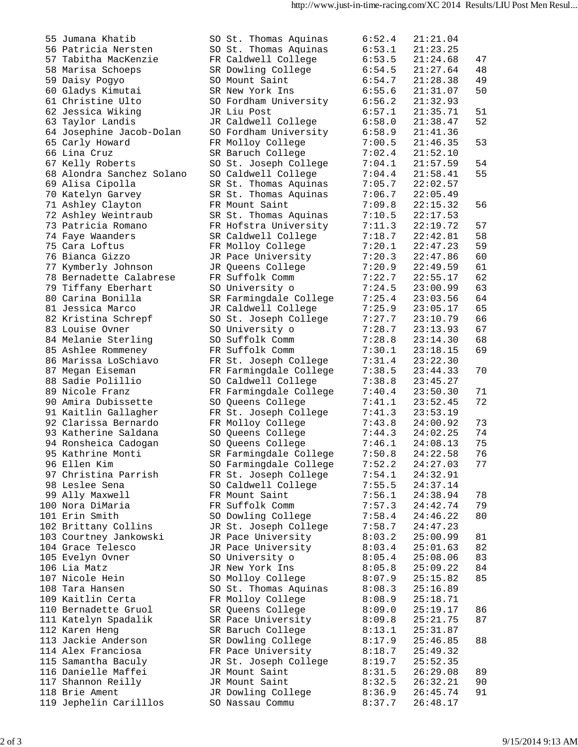| 55 Jumana Khatib          | SO St. Thomas Aquinas  | 6:52.4 | 21:21.04 |    |
|---------------------------|------------------------|--------|----------|----|
| 56 Patricia Nersten       | SO St. Thomas Aquinas  | 6:53.1 | 21:23.25 |    |
| 57 Tabitha MacKenzie      | FR Caldwell College    | 6:53.5 | 21:24.68 | 47 |
| 58 Marisa Schoeps         | SR Dowling College     | 6:54.5 | 21:27.64 | 48 |
| 59 Daisy Pogyo            | SO Mount Saint         | 6:54.7 | 21:28.38 | 49 |
| 60 Gladys Kimutai         | SR New York Ins        | 6:55.6 | 21:31.07 | 50 |
|                           |                        |        |          |    |
| 61 Christine Ulto         | SO Fordham University  | 6:56.2 | 21:32.93 |    |
| 62 Jessica Wiking         | JR Liu Post            | 6:57.1 | 21:35.71 | 51 |
| 63 Taylor Landis          | JR Caldwell College    | 6:58.0 | 21:38.47 | 52 |
| 64 Josephine Jacob-Dolan  | SO Fordham University  | 6:58.9 | 21:41.36 |    |
| 65 Carly Howard           | FR Molloy College      | 7:00.5 | 21:46.35 | 53 |
| 66 Lina Cruz              | SR Baruch College      | 7:02.4 | 21:52.10 |    |
| 67 Kelly Roberts          | SO St. Joseph College  | 7:04.1 | 21:57.59 | 54 |
| 68 Alondra Sanchez Solano | SO Caldwell College    | 7:04.4 | 21:58.41 | 55 |
|                           |                        |        |          |    |
| 69 Alisa Cipolla          | SR St. Thomas Aquinas  | 7:05.7 | 22:02.57 |    |
| 70 Katelyn Garvey         | SR St. Thomas Aquinas  | 7:06.7 | 22:05.49 |    |
| 71 Ashley Clayton         | FR Mount Saint         | 7:09.8 | 22:15.32 | 56 |
| 72 Ashley Weintraub       | SR St. Thomas Aquinas  | 7:10.5 | 22:17.53 |    |
| 73 Patricia Romano        | FR Hofstra University  | 7:11.3 | 22:19.72 | 57 |
| 74 Faye Waanders          | SR Caldwell College    | 7:18.7 | 22:42.81 | 58 |
| 75 Cara Loftus            | FR Molloy College      | 7:20.1 | 22:47.23 | 59 |
| 76 Bianca Gizzo           | JR Pace University     | 7:20.3 | 22:47.86 | 60 |
| 77 Kymberly Johnson       | JR Queens College      | 7:20.9 | 22:49.59 | 61 |
| 78 Bernadette Calabrese   | FR Suffolk Comm        | 7:22.7 | 22:55.17 | 62 |
|                           |                        |        |          |    |
| 79 Tiffany Eberhart       | SO University o        | 7:24.5 | 23:00.99 | 63 |
| 80 Carina Bonilla         | SR Farmingdale College | 7:25.4 | 23:03.56 | 64 |
| 81 Jessica Marco          | JR Caldwell College    | 7:25.9 | 23:05.17 | 65 |
| 82 Kristina Schrepf       | SO St. Joseph College  | 7:27.7 | 23:10.79 | 66 |
| 83 Louise Ovner           | SO University o        | 7:28.7 | 23:13.93 | 67 |
| 84 Melanie Sterling       | SO Suffolk Comm        | 7:28.8 | 23:14.30 | 68 |
| 85 Ashlee Rommeney        | FR Suffolk Comm        | 7:30.1 | 23:18.15 | 69 |
| 86 Marissa LoSchiavo      | FR St. Joseph College  | 7:31.4 | 23:22.30 |    |
| 87 Megan Eiseman          | FR Farmingdale College | 7:38.5 | 23:44.33 | 70 |
| 88 Sadie Polillio         | SO Caldwell College    | 7:38.8 | 23:45.27 |    |
| 89 Nicole Franz           | FR Farmingdale College | 7:40.4 | 23:50.30 | 71 |
| 90 Amira Dubissette       |                        |        |          | 72 |
|                           | SO Queens College      | 7:41.1 | 23:52.45 |    |
| 91 Kaitlin Gallagher      | FR St. Joseph College  | 7:41.3 | 23:53.19 |    |
| 92 Clarissa Bernardo      | FR Molloy College      | 7:43.8 | 24:00.92 | 73 |
| 93 Katherine Saldana      | SO Queens College      | 7:44.3 | 24:02.25 | 74 |
| 94 Ronsheica Cadogan      | SO Queens College      | 7:46.1 | 24:08.13 | 75 |
| 95 Kathrine Monti         | SR Farmingdale College | 7:50.8 | 24:22.58 | 76 |
| 96 Ellen Kim              | SO Farmingdale College | 7:52.2 | 24:27.03 | 77 |
| 97 Christina Parrish      | FR St. Joseph College  | 7:54.1 | 24:32.91 |    |
| 98 Leslee Sena            | SO Caldwell College    | 7:55.5 | 24:37.14 |    |
| 99 Ally Maxwell           | FR Mount Saint         | 7:56.1 | 24:38.94 | 78 |
| 100 Nora DiMaria          | FR Suffolk Comm        | 7:57.3 | 24:42.74 | 79 |
| 101 Erin Smith            |                        | 7:58.4 | 24:46.22 | 80 |
|                           | SO Dowling College     |        |          |    |
| 102 Brittany Collins      | JR St. Joseph College  | 7:58.7 | 24:47.23 |    |
| 103 Courtney Jankowski    | JR Pace University     | 8:03.2 | 25:00.99 | 81 |
| 104 Grace Telesco         | JR Pace University     | 8:03.4 | 25:01.63 | 82 |
| 105 Evelyn Ovner          | SO University o        | 8:05.4 | 25:08.06 | 83 |
| 106 Lia Matz              | JR New York Ins        | 8:05.8 | 25:09.22 | 84 |
| 107 Nicole Hein           | SO Molloy College      | 8:07.9 | 25:15.82 | 85 |
| 108 Tara Hansen           | SO St. Thomas Aquinas  | 8:08.3 | 25:16.89 |    |
| 109 Kaitlin Certa         | FR Molloy College      | 8:08.9 | 25:18.71 |    |
| 110 Bernadette Gruol      | SR Queens College      | 8:09.0 | 25:19.17 | 86 |
| 111 Katelyn Spadalik      | SR Pace University     | 8:09.8 | 25:21.75 | 87 |
|                           |                        |        |          |    |
| 112 Karen Heng            | SR Baruch College      | 8:13.1 | 25:31.87 |    |
| 113 Jackie Anderson       | SR Dowling College     | 8:17.9 | 25:46.85 | 88 |
| 114 Alex Franciosa        | FR Pace University     | 8:18.7 | 25:49.32 |    |
| 115 Samantha Baculy       | JR St. Joseph College  | 8:19.7 | 25:52.35 |    |
| 116 Danielle Maffei       | JR Mount Saint         | 8:31.5 | 26:29.08 | 89 |
| 117 Shannon Reilly        | JR Mount Saint         | 8:32.5 | 26:32.21 | 90 |
| 118 Brie Ament            | JR Dowling College     | 8:36.9 | 26:45.74 | 91 |
| 119 Jephelin Carilllos    | SO Nassau Commu        | 8:37.7 | 26:48.17 |    |
|                           |                        |        |          |    |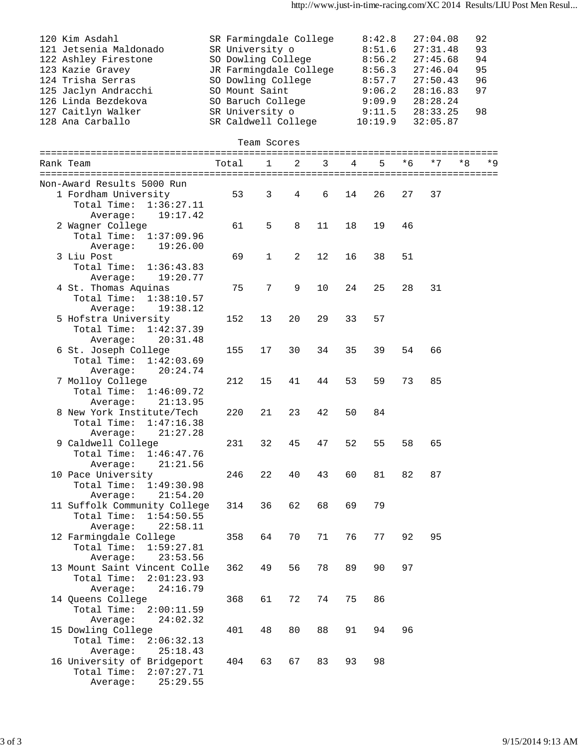| 120 Kim Asdahl<br>121 Jetsenia Maldonado<br>122 Ashley Firestone<br>123 Kazie Gravey<br>124 Trisha Serras<br>125 Jaclyn Andracchi<br>126 Linda Bezdekova<br>127 Caitlyn Walker<br>128 Ana Carballo | SR Farmingdale College<br>SR University o<br>SO Dowling College<br>JR Farmingdale College<br>SO Dowling College<br>SO Mount Saint<br>SO Baruch College<br>SR University o<br>SR Caldwell College |              |    |    |    | 8:42.8<br>8:51.6<br>8:56.2<br>8:56.3<br>8:57.7<br>9:06.2<br>9:09.9<br>9:11.5<br>10:19.9 |     | 27:04.08<br>27:31.48<br>27:45.68<br>27:46.04<br>27:50.43<br>28:16.83<br>28:28.24<br>28:33.25<br>32:05.87 | 92<br>93<br>94<br>95<br>96<br>97<br>98 |
|----------------------------------------------------------------------------------------------------------------------------------------------------------------------------------------------------|--------------------------------------------------------------------------------------------------------------------------------------------------------------------------------------------------|--------------|----|----|----|-----------------------------------------------------------------------------------------|-----|----------------------------------------------------------------------------------------------------------|----------------------------------------|
|                                                                                                                                                                                                    |                                                                                                                                                                                                  | Team Scores  |    |    |    |                                                                                         |     |                                                                                                          |                                        |
| Rank Team                                                                                                                                                                                          | Total                                                                                                                                                                                            | $\mathbf{1}$ | 2  | 3  | 4  | 5                                                                                       | * 6 | $*7$<br>*8                                                                                               | * 9                                    |
| Non-Award Results 5000 Run<br>1 Fordham University<br>Total Time:<br>1:36:27.11                                                                                                                    | 53                                                                                                                                                                                               | 3            | 4  | 6  | 14 | 26                                                                                      | 27  | 37                                                                                                       |                                        |
| Average:<br>19:17.42<br>2 Wagner College<br>Total Time:<br>1:37:09.96                                                                                                                              | 61                                                                                                                                                                                               | 5            | 8  | 11 | 18 | 19                                                                                      | 46  |                                                                                                          |                                        |
| 19:26.00<br>Average:<br>3 Liu Post<br>Total Time:<br>1:36:43.83<br>19:20.77                                                                                                                        | 69                                                                                                                                                                                               | $\mathbf{1}$ | 2  | 12 | 16 | 38                                                                                      | 51  |                                                                                                          |                                        |
| Average:<br>4 St. Thomas Aquinas<br>Total Time:<br>1:38:10.57<br>19:38.12<br>Average:                                                                                                              | 75                                                                                                                                                                                               | 7            | 9  | 10 | 24 | 25                                                                                      | 28  | 31                                                                                                       |                                        |
| 5 Hofstra University<br>Total Time:<br>1:42:37.39<br>20:31.48<br>Average:                                                                                                                          | 152                                                                                                                                                                                              | 13           | 20 | 29 | 33 | 57                                                                                      |     |                                                                                                          |                                        |
| 6 St. Joseph College<br>Total Time:<br>1:42:03.69<br>20:24.74<br>Average:                                                                                                                          | 155                                                                                                                                                                                              | 17           | 30 | 34 | 35 | 39                                                                                      | 54  | 66                                                                                                       |                                        |
| 7 Molloy College<br>Total Time:<br>1:46:09.72<br>Average:<br>21:13.95                                                                                                                              | 212                                                                                                                                                                                              | 15           | 41 | 44 | 53 | 59                                                                                      | 73  | 85                                                                                                       |                                        |
| 8 New York Institute/Tech<br>Total Time:<br>1:47:16.38<br>21:27.28<br>Average:                                                                                                                     | 220                                                                                                                                                                                              | 21           | 23 | 42 | 50 | 84                                                                                      |     |                                                                                                          |                                        |
| 9 Caldwell College<br>Total Time: 1:46:47.76<br>21:21.56<br>Average:                                                                                                                               | 231                                                                                                                                                                                              | 32           | 45 | 47 | 52 | 55                                                                                      | 58  | 65                                                                                                       |                                        |
| 10 Pace University<br>Total Time:<br>1:49:30.98<br>21:54.20<br>Average:                                                                                                                            | 246                                                                                                                                                                                              | 22           | 40 | 43 | 60 | 81                                                                                      | 82  | 87                                                                                                       |                                        |
| 11 Suffolk Community College<br>Total Time:<br>1:54:50.55<br>22:58.11<br>Average:                                                                                                                  | 314                                                                                                                                                                                              | 36           | 62 | 68 | 69 | 79                                                                                      |     |                                                                                                          |                                        |
| 12 Farmingdale College<br>Total Time:<br>1:59:27.81<br>23:53.56<br>Average:                                                                                                                        | 358                                                                                                                                                                                              | 64           | 70 | 71 | 76 | 77                                                                                      | 92  | 95                                                                                                       |                                        |
| 13 Mount Saint Vincent Colle<br>Total Time:<br>2:01:23.93<br>24:16.79<br>Average:                                                                                                                  | 362                                                                                                                                                                                              | 49           | 56 | 78 | 89 | 90                                                                                      | 97  |                                                                                                          |                                        |
| 14 Queens College<br>Total Time:<br>2:00:11.59<br>24:02.32<br>Average:                                                                                                                             | 368                                                                                                                                                                                              | 61           | 72 | 74 | 75 | 86                                                                                      |     |                                                                                                          |                                        |
| 15 Dowling College<br>Total Time:<br>2:06:32.13<br>25:18.43<br>Average:                                                                                                                            | 401                                                                                                                                                                                              | 48           | 80 | 88 | 91 | 94                                                                                      | 96  |                                                                                                          |                                        |
| 16 University of Bridgeport<br>Total Time:<br>2:07:27.71<br>25:29.55<br>Average:                                                                                                                   | 404                                                                                                                                                                                              | 63           | 67 | 83 | 93 | 98                                                                                      |     |                                                                                                          |                                        |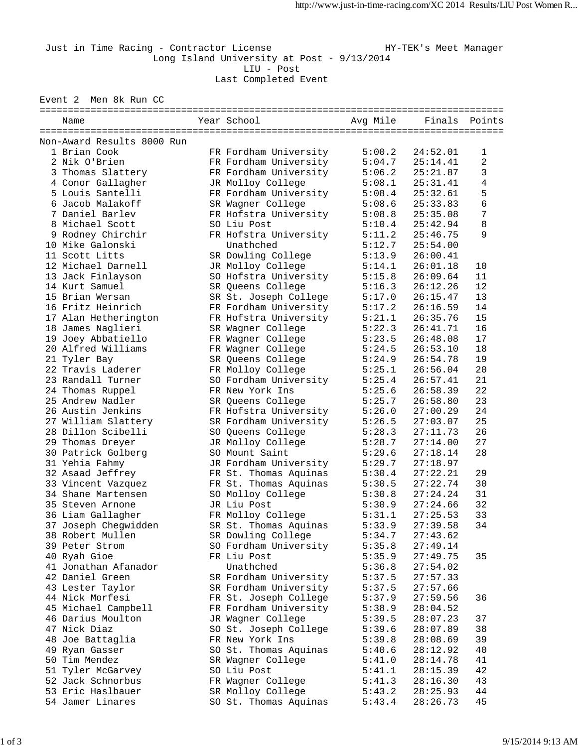Just in Time Racing - Contractor License Manager HY-TEK's Meet Manager Long Island University at Post - 9/13/2014 LIU - Post Last Completed Event

Event 2 Men 8k Run CC

| Name                       |  | Year School           | Avg Mile | Finals Points |    |  |  |  |  |
|----------------------------|--|-----------------------|----------|---------------|----|--|--|--|--|
|                            |  |                       |          |               |    |  |  |  |  |
| Non-Award Results 8000 Run |  |                       |          |               |    |  |  |  |  |
| 1 Brian Cook               |  | FR Fordham University | 5:00.2   | 24:52.01      | 1  |  |  |  |  |
| 2 Nik O'Brien              |  | FR Fordham University | 5:04.7   | 25:14.41      | 2  |  |  |  |  |
| 3 Thomas Slattery          |  | FR Fordham University | 5:06.2   | 25:21.87      | 3  |  |  |  |  |
| 4 Conor Gallagher          |  | JR Molloy College     | 5:08.1   | 25:31.41      | 4  |  |  |  |  |
| 5 Louis Santelli           |  | FR Fordham University | 5:08.4   | 25:32.61      | 5  |  |  |  |  |
| 6 Jacob Malakoff           |  | SR Wagner College     | 5:08.6   | 25:33.83      | 6  |  |  |  |  |
| 7 Daniel Barlev            |  | FR Hofstra University | 5:08.8   | 25:35.08      | 7  |  |  |  |  |
| 8 Michael Scott            |  | SO Liu Post           | 5:10.4   | 25:42.94      | 8  |  |  |  |  |
| 9 Rodney Chirchir          |  | FR Hofstra University | 5:11.2   | 25:46.75      | 9  |  |  |  |  |
| 10 Mike Galonski           |  | Unathched             | 5:12.7   | 25:54.00      |    |  |  |  |  |
| 11 Scott Litts             |  | SR Dowling College    | 5:13.9   | 26:00.41      |    |  |  |  |  |
| 12 Michael Darnell         |  | JR Molloy College     | 5:14.1   | 26:01.18      | 10 |  |  |  |  |
| 13 Jack Finlayson          |  | SO Hofstra University | 5:15.8   | 26:09.64      | 11 |  |  |  |  |
| 14 Kurt Samuel             |  | SR Queens College     | 5:16.3   | 26:12.26      | 12 |  |  |  |  |
| 15 Brian Wersan            |  | SR St. Joseph College | 5:17.0   | 26:15.47      | 13 |  |  |  |  |
| 16 Fritz Heinrich          |  | FR Fordham University | 5:17.2   | 26:16.59      | 14 |  |  |  |  |
| 17 Alan Hetherington       |  | FR Hofstra University | 5:21.1   | 26:35.76      | 15 |  |  |  |  |
| 18 James Naglieri          |  | SR Wagner College     | 5:22.3   | 26:41.71      | 16 |  |  |  |  |
| 19 Joey Abbatiello         |  | FR Wagner College     | 5:23.5   | 26:48.08      | 17 |  |  |  |  |
| 20 Alfred Williams         |  | FR Wagner College     | 5:24.5   | 26:53.10      | 18 |  |  |  |  |
| 21 Tyler Bay               |  | SR Queens College     | 5:24.9   | 26:54.78      | 19 |  |  |  |  |
| 22 Travis Laderer          |  | FR Molloy College     | 5:25.1   | 26:56.04      | 20 |  |  |  |  |
| 23 Randall Turner          |  | SO Fordham University | 5:25.4   | 26:57.41      | 21 |  |  |  |  |
| 24 Thomas Ruppel           |  | FR New York Ins       | 5:25.6   | 26:58.39      | 22 |  |  |  |  |
| 25 Andrew Nadler           |  | SR Queens College     | 5:25.7   | 26:58.80      | 23 |  |  |  |  |
| 26 Austin Jenkins          |  | FR Hofstra University | 5:26.0   | 27:00.29      | 24 |  |  |  |  |
|                            |  |                       |          |               | 25 |  |  |  |  |
| 27 William Slattery        |  | SR Fordham University | 5:26.5   | 27:03.07      | 26 |  |  |  |  |
| 28 Dillon Scibelli         |  | SO Queens College     | 5:28.3   | 27:11.73      | 27 |  |  |  |  |
| 29 Thomas Dreyer           |  | JR Molloy College     | 5:28.7   | 27:14.00      |    |  |  |  |  |
| 30 Patrick Golberg         |  | SO Mount Saint        | 5:29.6   | 27:18.14      | 28 |  |  |  |  |
| 31 Yehia Fahmy             |  | JR Fordham University | 5:29.7   | 27:18.97      |    |  |  |  |  |
| 32 Asaad Jeffrey           |  | FR St. Thomas Aquinas | 5:30.4   | 27:22.21      | 29 |  |  |  |  |
| 33 Vincent Vazquez         |  | FR St. Thomas Aquinas | 5:30.5   | 27:22.74      | 30 |  |  |  |  |
| 34 Shane Martensen         |  | SO Molloy College     | 5:30.8   | 27:24.24      | 31 |  |  |  |  |
| 35 Steven Arnone           |  | JR Liu Post           | 5:30.9   | 27:24.66      | 32 |  |  |  |  |
| 36 Liam Gallagher          |  | FR Molloy College     | 5:31.1   | 27:25.53      | 33 |  |  |  |  |
| 37 Joseph Chegwidden       |  | SR St. Thomas Aquinas | 5:33.9   | 27:39.58      | 34 |  |  |  |  |
| 38 Robert Mullen           |  | SR Dowling College    | 5:34.7   | 27:43.62      |    |  |  |  |  |
| 39 Peter Strom             |  | SO Fordham University | 5:35.8   | 27:49.14      |    |  |  |  |  |
| 40 Ryah Gioe               |  | FR Liu Post           | 5:35.9   | 27:49.75      | 35 |  |  |  |  |
| 41 Jonathan Afanador       |  | Unathched             | 5:36.8   | 27:54.02      |    |  |  |  |  |
| 42 Daniel Green            |  | SR Fordham University | 5:37.5   | 27:57.33      |    |  |  |  |  |
| 43 Lester Taylor           |  | SR Fordham University | 5:37.5   | 27:57.66      |    |  |  |  |  |
| 44 Nick Morfesi            |  | FR St. Joseph College | 5:37.9   | 27:59.56      | 36 |  |  |  |  |
| 45 Michael Campbell        |  | FR Fordham University | 5:38.9   | 28:04.52      |    |  |  |  |  |
| 46 Darius Moulton          |  | JR Wagner College     | 5:39.5   | 28:07.23      | 37 |  |  |  |  |
| 47 Nick Diaz               |  | SO St. Joseph College | 5:39.6   | 28:07.89      | 38 |  |  |  |  |
| 48 Joe Battaglia           |  | FR New York Ins       | 5:39.8   | 28:08.69      | 39 |  |  |  |  |
| 49 Ryan Gasser             |  | SO St. Thomas Aquinas | 5:40.6   | 28:12.92      | 40 |  |  |  |  |
| 50 Tim Mendez              |  | SR Wagner College     | 5:41.0   | 28:14.78      | 41 |  |  |  |  |
| 51 Tyler McGarvey          |  | SO Liu Post           | 5:41.1   | 28:15.39      | 42 |  |  |  |  |
| 52 Jack Schnorbus          |  | FR Wagner College     | 5:41.3   | 28:16.30      | 43 |  |  |  |  |
| 53 Eric Haslbauer          |  | SR Molloy College     | 5:43.2   | 28:25.93      | 44 |  |  |  |  |
| 54 Jamer Linares           |  | SO St. Thomas Aquinas | 5:43.4   | 28:26.73      | 45 |  |  |  |  |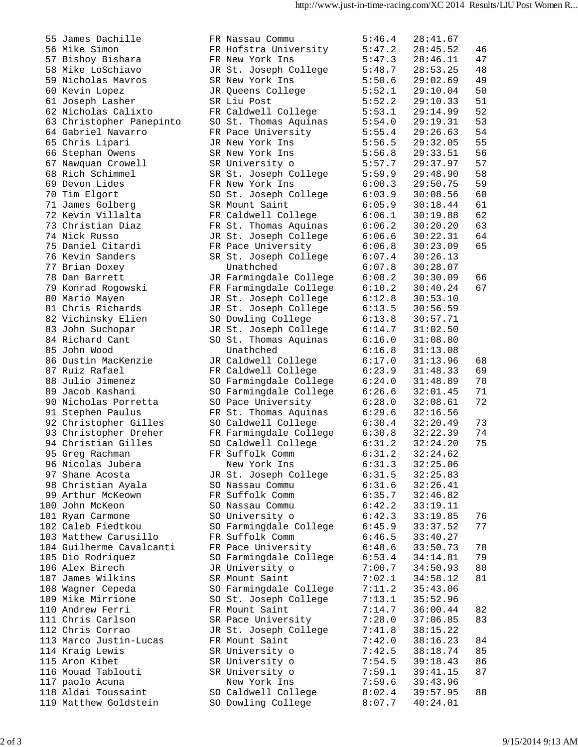| 55 James Dachille        | FR Nassau Commu        | 5:46.4 | 28:41.67 |    |
|--------------------------|------------------------|--------|----------|----|
| 56 Mike Simon            | FR Hofstra University  | 5:47.2 | 28:45.52 | 46 |
| 57 Bishoy Bishara        | FR New York Ins        | 5:47.3 | 28:46.11 | 47 |
| 58 Mike LoSchiavo        | JR St. Joseph College  | 5:48.7 | 28:53.25 | 48 |
| 59 Nicholas Mavros       | SR New York Ins        | 5:50.6 | 29:02.69 | 49 |
| 60 Kevin Lopez           | JR Queens College      | 5:52.1 | 29:10.04 | 50 |
| 61 Joseph Lasher         | SR Liu Post            | 5:52.2 | 29:10.33 | 51 |
|                          |                        |        |          |    |
| 62 Nicholas Calixto      | FR Caldwell College    | 5:53.1 | 29:14.99 | 52 |
| 63 Christopher Panepinto | SO St. Thomas Aquinas  | 5:54.0 | 29:19.31 | 53 |
| 64 Gabriel Navarro       | FR Pace University     | 5:55.4 | 29:26.63 | 54 |
| 65 Chris Lipari          | JR New York Ins        | 5:56.5 | 29:32.05 | 55 |
| 66 Stephan Owens         | SR New York Ins        | 5:56.8 | 29:33.51 | 56 |
| 67 Nawquan Crowell       | SR University o        | 5:57.7 | 29:37.97 | 57 |
| 68 Rich Schimmel         | SR St. Joseph College  | 5:59.9 | 29:48.90 | 58 |
| 69 Devon Lides           | FR New York Ins        | 6:00.3 | 29:50.75 | 59 |
| 70 Tim Elgort            | SO St. Joseph College  | 6:03.9 | 30:08.56 | 60 |
| 71 James Golberg         | SR Mount Saint         | 6:05.9 | 30:18.44 | 61 |
| 72 Kevin Villalta        | FR Caldwell College    | 6:06.1 | 30:19.88 | 62 |
| 73 Christian Diaz        | FR St. Thomas Aquinas  | 6:06.2 | 30:20.20 | 63 |
| 74 Nick Russo            |                        | 6:06.6 |          | 64 |
|                          | JR St. Joseph College  |        | 30:22.31 |    |
| 75 Daniel Citardi        | FR Pace University     | 6:06.8 | 30:23.09 | 65 |
| 76 Kevin Sanders         | SR St. Joseph College  | 6:07.4 | 30:26.13 |    |
| 77 Brian Doxey           | Unathched              | 6:07.8 | 30:28.07 |    |
| 78 Dan Barrett           | JR Farmingdale College | 6:08.2 | 30:30.09 | 66 |
| 79 Konrad Rogowski       | FR Farmingdale College | 6:10.2 | 30:40.24 | 67 |
| 80 Mario Mayen           | JR St. Joseph College  | 6:12.8 | 30:53.10 |    |
| 81 Chris Richards        | JR St. Joseph College  | 6:13.5 | 30:56.59 |    |
| 82 Vichinsky Elien       | SO Dowling College     | 6:13.8 | 30:57.71 |    |
| 83 John Suchopar         | JR St. Joseph College  | 6:14.7 | 31:02.50 |    |
| 84 Richard Cant          | SO St. Thomas Aquinas  | 6:16.0 | 31:08.80 |    |
| 85 John Wood             | Unathched              | 6:16.8 | 31:13.08 |    |
| 86 Dustin MacKenzie      | JR Caldwell College    | 6:17.0 | 31:13.96 | 68 |
| 87 Ruiz Rafael           |                        | 6:23.9 | 31:48.33 | 69 |
|                          | FR Caldwell College    |        |          |    |
| 88 Julio Jimenez         | SO Farmingdale College | 6:24.0 | 31:48.89 | 70 |
| 89 Jacob Kashani         | SO Farmingdale College | 6:26.6 | 32:01.45 | 71 |
| 90 Nicholas Porretta     | SO Pace University     | 6:28.0 | 32:08.61 | 72 |
| 91 Stephen Paulus        | FR St. Thomas Aquinas  | 6:29.6 | 32:16.56 |    |
| 92 Christopher Gilles    | SO Caldwell College    | 6:30.4 | 32:20.49 | 73 |
| 93 Christopher Dreher    | FR Farmingdale College | 6:30.8 | 32:22.39 | 74 |
| 94 Christian Gilles      | SO Caldwell College    | 6:31.2 | 32:24.20 | 75 |
| 95 Greg Rachman          | FR Suffolk Comm        | 6:31.2 | 32:24.62 |    |
| 96 Nicolas Jubera        | New York Ins           | 6:31.3 | 32:25.06 |    |
| 97 Shane Acosta          | JR St. Joseph College  | 6:31.5 | 32:25.83 |    |
| 98 Christian Ayala       | SO Nassau Commu        | 6:31.6 | 32:26.41 |    |
| 99 Arthur McKeown        | FR Suffolk Comm        | 6:35.7 | 32:46.82 |    |
| 100 John McKeon          | SO Nassau Commu        | 6:42.2 | 33:19.11 |    |
| 101 Ryan Carmone         | SO University o        | 6:42.3 | 33:19.85 | 76 |
| 102 Caleb Fiedtkou       | SO Farmingdale College | 6:45.9 | 33:37.52 | 77 |
| 103 Matthew Carusillo    | FR Suffolk Comm        | 6:46.5 | 33:40.27 |    |
|                          |                        |        |          |    |
| 104 Guilherme Cavalcanti | FR Pace University     | 6:48.6 | 33:50.73 | 78 |
| 105 Dio Rodriquez        | SO Farmingdale College | 6:53.4 | 34:14.81 | 79 |
| 106 Alex Birech          | JR University o        | 7:00.7 | 34:50.93 | 80 |
| 107 James Wilkins        | SR Mount Saint         | 7:02.1 | 34:58.12 | 81 |
| 108 Wagner Cepeda        | SO Farmingdale College | 7:11.2 | 35:43.06 |    |
| 109 Mike Mirrione        | SO St. Joseph College  | 7:13.1 | 35:52.96 |    |
| 110 Andrew Ferri         | FR Mount Saint         | 7:14.7 | 36:00.44 | 82 |
| 111 Chris Carlson        | SR Pace University     | 7:28.0 | 37:06.85 | 83 |
| 112 Chris Corrao         | JR St. Joseph College  | 7:41.8 | 38:15.22 |    |
| 113 Marco Justin-Lucas   | FR Mount Saint         | 7:42.0 | 38:16.23 | 84 |
| 114 Kraig Lewis          | SR University o        | 7:42.5 | 38:18.74 | 85 |
| 115 Aron Kibet           | SR University o        | 7:54.5 | 39:18.43 | 86 |
| 116 Mouad Tablouti       | SR University o        | 7:59.1 | 39:41.15 | 87 |
| 117 paolo Acuna          | New York Ins           | 7:59.6 | 39:43.96 |    |
|                          |                        |        |          |    |
| 118 Aldai Toussaint      | SO Caldwell College    | 8:02.4 | 39:57.95 | 88 |
| 119 Matthew Goldstein    | SO Dowling College     | 8:07.7 | 40:24.01 |    |